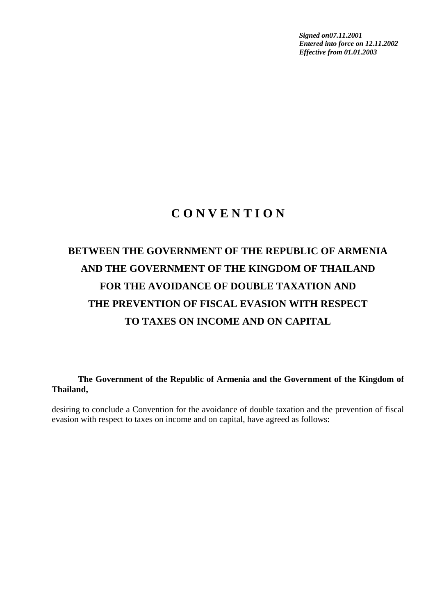*Signed on07.11.2001 Entered into force on 12.11.2002 Effective from 01.01.2003* 

## **C O N V E N T I O N**

# **BETWEEN THE GOVERNMENT OF THE REPUBLIC OF ARMENIA AND THE GOVERNMENT OF THE KINGDOM OF THAILAND FOR THE AVOIDANCE OF DOUBLE TAXATION AND THE PREVENTION OF FISCAL EVASION WITH RESPECT TO TAXES ON INCOME AND ON CAPITAL**

**The Government of the Republic of Armenia and the Government of the Kingdom of Thailand,** 

desiring to conclude a Convention for the avoidance of double taxation and the prevention of fiscal evasion with respect to taxes on income and on capital, have agreed as follows: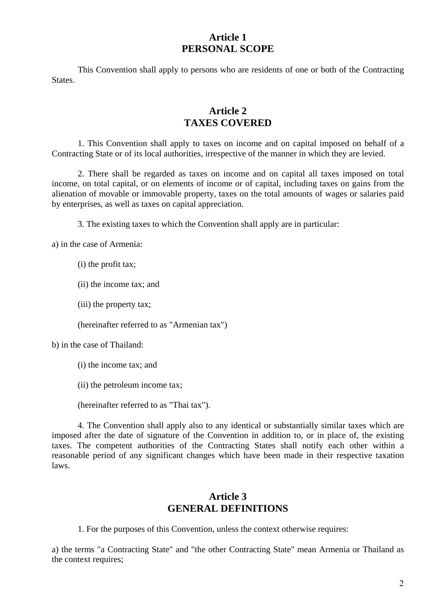## **Article 1 PERSONAL SCOPE**

This Convention shall apply to persons who are residents of one or both of the Contracting States.

## **Article 2 TAXES COVERED**

1. This Convention shall apply to taxes on income and on capital imposed on behalf of a Contracting State or of its local authorities, irrespective of the manner in which they are levied.

2. There shall be regarded as taxes on income and on capital all taxes imposed on total income, on total capital, or on elements of income or of capital, including taxes on gains from the alienation of movable or immovable property, taxes on the total amounts of wages or salaries paid by enterprises, as well as taxes on capital appreciation.

3. The existing taxes to which the Convention shall apply are in particular:

a) in the case of Armenia:

(i) the profit tax;

- (ii) the income tax; and
- (iii) the property tax;

(hereinafter referred to as "Armenian tax")

b) in the case of Thailand:

- (i) the income tax; and
- (ii) the petroleum income tax;

(hereinafter referred to as "Thai tax").

4. The Convention shall apply also to any identical or substantially similar taxes which are imposed after the date of signature of the Convention in addition to, or in place of, the existing taxes. The competent authorities of the Contracting States shall notify each other within a reasonable period of any significant changes which have been made in their respective taxation laws.

## **Article 3 GENERAL DEFINITIONS**

1. For the purposes of this Convention, unless the context otherwise requires:

a) the terms "a Contracting State" and "the other Contracting State" mean Armenia or Thailand as the context requires;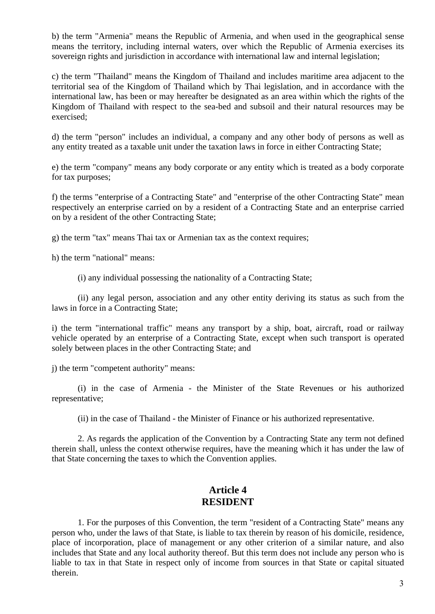b) the term "Armenia" means the Republic of Armenia, and when used in the geographical sense means the territory, including internal waters, over which the Republic of Armenia exercises its sovereign rights and jurisdiction in accordance with international law and internal legislation;

c) the term "Thailand" means the Kingdom of Thailand and includes maritime area adjacent to the territorial sea of the Kingdom of Thailand which by Thai legislation, and in accordance with the international law, has been or may hereafter be designated as an area within which the rights of the Kingdom of Thailand with respect to the sea-bed and subsoil and their natural resources may be exercised;

d) the term "person" includes an individual, a company and any other body of persons as well as any entity treated as a taxable unit under the taxation laws in force in either Contracting State;

e) the term "company" means any body corporate or any entity which is treated as a body corporate for tax purposes;

f) the terms "enterprise of a Contracting State" and "enterprise of the other Contracting State" mean respectively an enterprise carried on by a resident of a Contracting State and an enterprise carried on by a resident of the other Contracting State;

g) the term "tax" means Thai tax or Armenian tax as the context requires;

h) the term "national" means:

(i) any individual possessing the nationality of a Contracting State;

(ii) any legal person, association and any other entity deriving its status as such from the laws in force in a Contracting State;

i) the term "international traffic" means any transport by a ship, boat, aircraft, road or railway vehicle operated by an enterprise of a Contracting State, except when such transport is operated solely between places in the other Contracting State; and

j) the term "competent authority" means:

(i) in the case of Armenia - the Minister of the State Revenues or his authorized representative;

(ii) in the case of Thailand - the Minister of Finance or his authorized representative.

2. As regards the application of the Convention by a Contracting State any term not defined therein shall, unless the context otherwise requires, have the meaning which it has under the law of that State concerning the taxes to which the Convention applies.

## **Article 4 RESIDENT**

1. For the purposes of this Convention, the term "resident of a Contracting State" means any person who, under the laws of that State, is liable to tax therein by reason of his domicile, residence, place of incorporation, place of management or any other criterion of a similar nature, and also includes that State and any local authority thereof. But this term does not include any person who is liable to tax in that State in respect only of income from sources in that State or capital situated therein.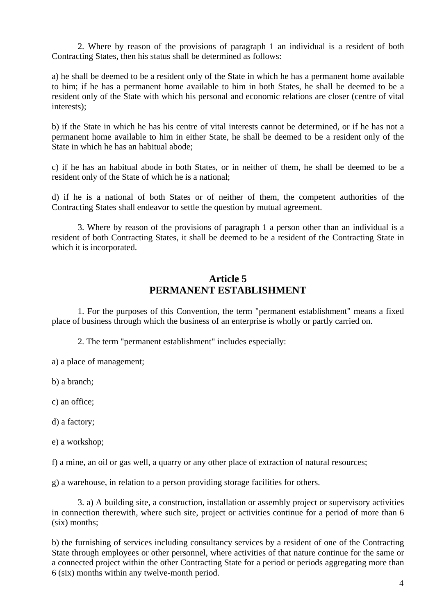2. Where by reason of the provisions of paragraph 1 an individual is a resident of both Contracting States, then his status shall be determined as follows:

a) he shall be deemed to be a resident only of the State in which he has a permanent home available to him; if he has a permanent home available to him in both States, he shall be deemed to be a resident only of the State with which his personal and economic relations are closer (centre of vital interests);

b) if the State in which he has his centre of vital interests cannot be determined, or if he has not a permanent home available to him in either State, he shall be deemed to be a resident only of the State in which he has an habitual abode;

c) if he has an habitual abode in both States, or in neither of them, he shall be deemed to be a resident only of the State of which he is a national;

d) if he is a national of both States or of neither of them, the competent authorities of the Contracting States shall endeavor to settle the question by mutual agreement.

3. Where by reason of the provisions of paragraph 1 a person other than an individual is a resident of both Contracting States, it shall be deemed to be a resident of the Contracting State in which it is incorporated.

## **Article 5 PERMANENT ESTABLISHMENT**

1. For the purposes of this Convention, the term "permanent establishment" means a fixed place of business through which the business of an enterprise is wholly or partly carried on.

2. The term "permanent establishment" includes especially:

a) a place of management;

b) a branch;

c) an office;

d) a factory;

e) a workshop;

f) a mine, an oil or gas well, a quarry or any other place of extraction of natural resources;

g) a warehouse, in relation to a person providing storage facilities for others.

3. a) A building site, a construction, installation or assembly project or supervisory activities in connection therewith, where such site, project or activities continue for a period of more than 6 (six) months;

b) the furnishing of services including consultancy services by a resident of one of the Contracting State through employees or other personnel, where activities of that nature continue for the same or a connected project within the other Contracting State for a period or periods aggregating more than 6 (six) months within any twelve-month period.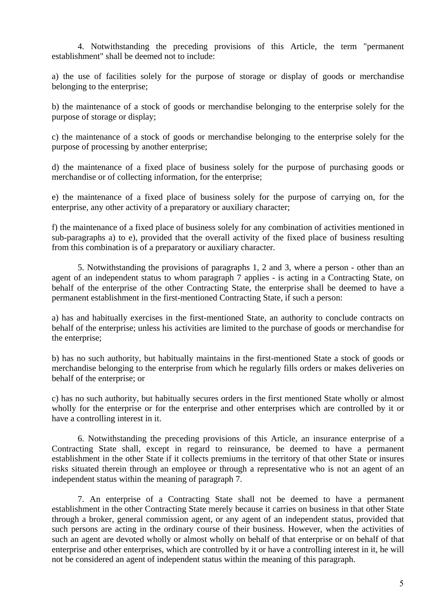4. Notwithstanding the preceding provisions of this Article, the term "permanent establishment" shall be deemed not to include:

a) the use of facilities solely for the purpose of storage or display of goods or merchandise belonging to the enterprise;

b) the maintenance of a stock of goods or merchandise belonging to the enterprise solely for the purpose of storage or display;

c) the maintenance of a stock of goods or merchandise belonging to the enterprise solely for the purpose of processing by another enterprise;

d) the maintenance of a fixed place of business solely for the purpose of purchasing goods or merchandise or of collecting information, for the enterprise;

e) the maintenance of a fixed place of business solely for the purpose of carrying on, for the enterprise, any other activity of a preparatory or auxiliary character;

f) the maintenance of a fixed place of business solely for any combination of activities mentioned in sub-paragraphs a) to e), provided that the overall activity of the fixed place of business resulting from this combination is of a preparatory or auxiliary character.

5. Notwithstanding the provisions of paragraphs 1, 2 and 3, where a person - other than an agent of an independent status to whom paragraph 7 applies - is acting in a Contracting State, on behalf of the enterprise of the other Contracting State, the enterprise shall be deemed to have a permanent establishment in the first-mentioned Contracting State, if such a person:

a) has and habitually exercises in the first-mentioned State, an authority to conclude contracts on behalf of the enterprise; unless his activities are limited to the purchase of goods or merchandise for the enterprise;

b) has no such authority, but habitually maintains in the first-mentioned State a stock of goods or merchandise belonging to the enterprise from which he regularly fills orders or makes deliveries on behalf of the enterprise; or

c) has no such authority, but habitually secures orders in the first mentioned State wholly or almost wholly for the enterprise or for the enterprise and other enterprises which are controlled by it or have a controlling interest in it.

6. Notwithstanding the preceding provisions of this Article, an insurance enterprise of a Contracting State shall, except in regard to reinsurance, be deemed to have a permanent establishment in the other State if it collects premiums in the territory of that other State or insures risks situated therein through an employee or through a representative who is not an agent of an independent status within the meaning of paragraph 7.

7. An enterprise of a Contracting State shall not be deemed to have a permanent establishment in the other Contracting State merely because it carries on business in that other State through a broker, general commission agent, or any agent of an independent status, provided that such persons are acting in the ordinary course of their business. However, when the activities of such an agent are devoted wholly or almost wholly on behalf of that enterprise or on behalf of that enterprise and other enterprises, which are controlled by it or have a controlling interest in it, he will not be considered an agent of independent status within the meaning of this paragraph.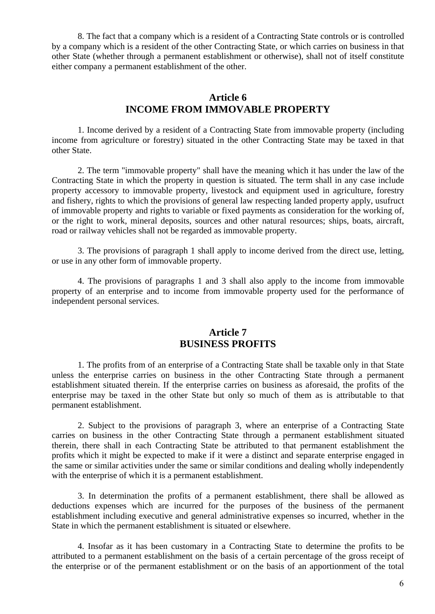8. The fact that a company which is a resident of a Contracting State controls or is controlled by a company which is a resident of the other Contracting State, or which carries on business in that other State (whether through a permanent establishment or otherwise), shall not of itself constitute either company a permanent establishment of the other.

#### **Article 6 INCOME FROM IMMOVABLE PROPERTY**

1. Income derived by a resident of a Contracting State from immovable property (including income from agriculture or forestry) situated in the other Contracting State may be taxed in that other State.

2. The term "immovable property" shall have the meaning which it has under the law of the Contracting State in which the property in question is situated. The term shall in any case include property accessory to immovable property, livestock and equipment used in agriculture, forestry and fishery, rights to which the provisions of general law respecting landed property apply, usufruct of immovable property and rights to variable or fixed payments as consideration for the working of, or the right to work, mineral deposits, sources and other natural resources; ships, boats, aircraft, road or railway vehicles shall not be regarded as immovable property.

3. The provisions of paragraph 1 shall apply to income derived from the direct use, letting, or use in any other form of immovable property.

4. The provisions of paragraphs 1 and 3 shall also apply to the income from immovable property of an enterprise and to income from immovable property used for the performance of independent personal services.

## **Article 7 BUSINESS PROFITS**

1. The profits from of an enterprise of a Contracting State shall be taxable only in that State unless the enterprise carries on business in the other Contracting State through a permanent establishment situated therein. If the enterprise carries on business as aforesaid, the profits of the enterprise may be taxed in the other State but only so much of them as is attributable to that permanent establishment.

2. Subject to the provisions of paragraph 3, where an enterprise of a Contracting State carries on business in the other Contracting State through a permanent establishment situated therein, there shall in each Contracting State be attributed to that permanent establishment the profits which it might be expected to make if it were a distinct and separate enterprise engaged in the same or similar activities under the same or similar conditions and dealing wholly independently with the enterprise of which it is a permanent establishment.

3. In determination the profits of a permanent establishment, there shall be allowed as deductions expenses which are incurred for the purposes of the business of the permanent establishment including executive and general administrative expenses so incurred, whether in the State in which the permanent establishment is situated or elsewhere.

4. Insofar as it has been customary in a Contracting State to determine the profits to be attributed to a permanent establishment on the basis of a certain percentage of the gross receipt of the enterprise or of the permanent establishment or on the basis of an apportionment of the total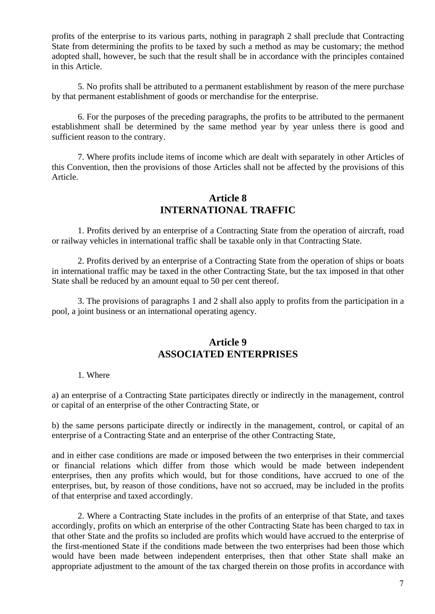profits of the enterprise to its various parts, nothing in paragraph 2 shall preclude that Contracting State from determining the profits to be taxed by such a method as may be customary; the method adopted shall, however, be such that the result shall be in accordance with the principles contained in this Article.

5. No profits shall be attributed to a permanent establishment by reason of the mere purchase by that permanent establishment of goods or merchandise for the enterprise.

6. For the purposes of the preceding paragraphs, the profits to be attributed to the permanent establishment shall be determined by the same method year by year unless there is good and sufficient reason to the contrary.

7. Where profits include items of income which are dealt with separately in other Articles of this Convention, then the provisions of those Articles shall not be affected by the provisions of this Article.

## **Article 8 INTERNATIONAL TRAFFIC**

1. Profits derived by an enterprise of a Contracting State from the operation of aircraft, road or railway vehicles in international traffic shall be taxable only in that Contracting State.

2. Profits derived by an enterprise of a Contracting State from the operation of ships or boats in international traffic may be taxed in the other Contracting State, but the tax imposed in that other State shall be reduced by an amount equal to 50 per cent thereof.

3. The provisions of paragraphs 1 and 2 shall also apply to profits from the participation in a pool, a joint business or an international operating agency.

## **Article 9 ASSOCIATED ENTERPRISES**

#### 1. Where

a) an enterprise of a Contracting State participates directly or indirectly in the management, control or capital of an enterprise of the other Contracting State, or

b) the same persons participate directly or indirectly in the management, control, or capital of an enterprise of a Contracting State and an enterprise of the other Contracting State,

and in either case conditions are made or imposed between the two enterprises in their commercial or financial relations which differ from those which would be made between independent enterprises, then any profits which would, but for those conditions, have accrued to one of the enterprises, but, by reason of those conditions, have not so accrued, may be included in the profits of that enterprise and taxed accordingly.

2. Where a Contracting State includes in the profits of an enterprise of that State, and taxes accordingly, profits on which an enterprise of the other Contracting State has been charged to tax in that other State and the profits so included are profits which would have accrued to the enterprise of the first-mentioned State if the conditions made between the two enterprises had been those which would have been made between independent enterprises, then that other State shall make an appropriate adjustment to the amount of the tax charged therein on those profits in accordance with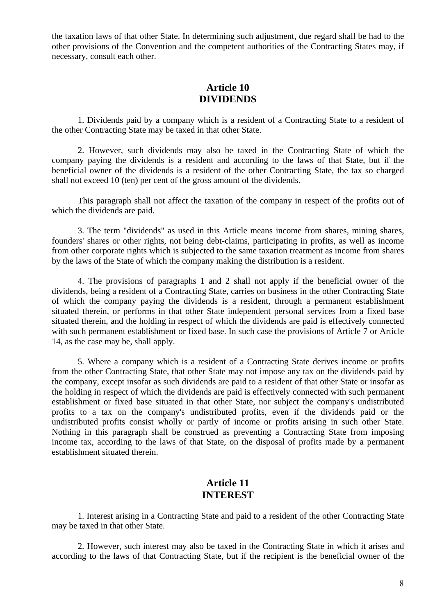the taxation laws of that other State. In determining such adjustment, due regard shall be had to the other provisions of the Convention and the competent authorities of the Contracting States may, if necessary, consult each other.

## **Article 10 DIVIDENDS**

1. Dividends paid by a company which is a resident of a Contracting State to a resident of the other Contracting State may be taxed in that other State.

2. However, such dividends may also be taxed in the Contracting State of which the company paying the dividends is a resident and according to the laws of that State, but if the beneficial owner of the dividends is a resident of the other Contracting State, the tax so charged shall not exceed 10 (ten) per cent of the gross amount of the dividends.

This paragraph shall not affect the taxation of the company in respect of the profits out of which the dividends are paid.

3. The term "dividends" as used in this Article means income from shares, mining shares, founders' shares or other rights, not being debt-claims, participating in profits, as well as income from other corporate rights which is subjected to the same taxation treatment as income from shares by the laws of the State of which the company making the distribution is a resident.

4. The provisions of paragraphs 1 and 2 shall not apply if the beneficial owner of the dividends, being a resident of a Contracting State, carries on business in the other Contracting State of which the company paying the dividends is a resident, through a permanent establishment situated therein, or performs in that other State independent personal services from a fixed base situated therein, and the holding in respect of which the dividends are paid is effectively connected with such permanent establishment or fixed base. In such case the provisions of Article 7 or Article 14, as the case may be, shall apply.

5. Where a company which is a resident of a Contracting State derives income or profits from the other Contracting State, that other State may not impose any tax on the dividends paid by the company, except insofar as such dividends are paid to a resident of that other State or insofar as the holding in respect of which the dividends are paid is effectively connected with such permanent establishment or fixed base situated in that other State, nor subject the company's undistributed profits to a tax on the company's undistributed profits, even if the dividends paid or the undistributed profits consist wholly or partly of income or profits arising in such other State. Nothing in this paragraph shall be construed as preventing a Contracting State from imposing income tax, according to the laws of that State, on the disposal of profits made by a permanent establishment situated therein.

## **Article 11 INTEREST**

1. Interest arising in a Contracting State and paid to a resident of the other Contracting State may be taxed in that other State.

2. However, such interest may also be taxed in the Contracting State in which it arises and according to the laws of that Contracting State, but if the recipient is the beneficial owner of the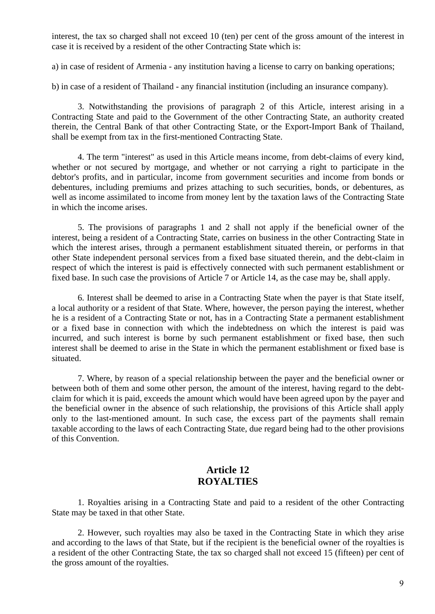interest, the tax so charged shall not exceed 10 (ten) per cent of the gross amount of the interest in case it is received by a resident of the other Contracting State which is:

a) in case of resident of Armenia - any institution having a license to carry on banking operations;

b) in case of a resident of Thailand - any financial institution (including an insurance company).

3. Notwithstanding the provisions of paragraph 2 of this Article, interest arising in a Contracting State and paid to the Government of the other Contracting State, an authority created therein, the Central Bank of that other Contracting State, or the Export-Import Bank of Thailand, shall be exempt from tax in the first-mentioned Contracting State.

4. The term "interest" as used in this Article means income, from debt-claims of every kind, whether or not secured by mortgage, and whether or not carrying a right to participate in the debtor's profits, and in particular, income from government securities and income from bonds or debentures, including premiums and prizes attaching to such securities, bonds, or debentures, as well as income assimilated to income from money lent by the taxation laws of the Contracting State in which the income arises.

5. The provisions of paragraphs 1 and 2 shall not apply if the beneficial owner of the interest, being a resident of a Contracting State, carries on business in the other Contracting State in which the interest arises, through a permanent establishment situated therein, or performs in that other State independent personal services from a fixed base situated therein, and the debt-claim in respect of which the interest is paid is effectively connected with such permanent establishment or fixed base. In such case the provisions of Article 7 or Article 14, as the case may be, shall apply.

6. Interest shall be deemed to arise in a Contracting State when the payer is that State itself, a local authority or a resident of that State. Where, however, the person paying the interest, whether he is a resident of a Contracting State or not, has in a Contracting State a permanent establishment or a fixed base in connection with which the indebtedness on which the interest is paid was incurred, and such interest is borne by such permanent establishment or fixed base, then such interest shall be deemed to arise in the State in which the permanent establishment or fixed base is situated.

7. Where, by reason of a special relationship between the payer and the beneficial owner or between both of them and some other person, the amount of the interest, having regard to the debtclaim for which it is paid, exceeds the amount which would have been agreed upon by the payer and the beneficial owner in the absence of such relationship, the provisions of this Article shall apply only to the last-mentioned amount. In such case, the excess part of the payments shall remain taxable according to the laws of each Contracting State, due regard being had to the other provisions of this Convention.

## **Article 12 ROYALTIES**

1. Royalties arising in a Contracting State and paid to a resident of the other Contracting State may be taxed in that other State.

2. However, such royalties may also be taxed in the Contracting State in which they arise and according to the laws of that State, but if the recipient is the beneficial owner of the royalties is a resident of the other Contracting State, the tax so charged shall not exceed 15 (fifteen) per cent of the gross amount of the royalties.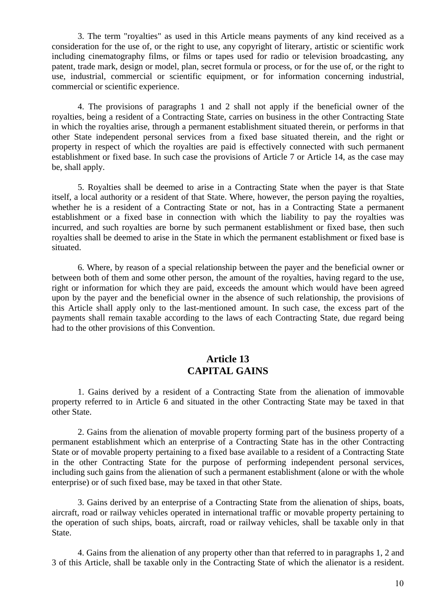3. The term "royalties" as used in this Article means payments of any kind received as a consideration for the use of, or the right to use, any copyright of literary, artistic or scientific work including cinematography films, or films or tapes used for radio or television broadcasting, any patent, trade mark, design or model, plan, secret formula or process, or for the use of, or the right to use, industrial, commercial or scientific equipment, or for information concerning industrial, commercial or scientific experience.

4. The provisions of paragraphs 1 and 2 shall not apply if the beneficial owner of the royalties, being a resident of a Contracting State, carries on business in the other Contracting State in which the royalties arise, through a permanent establishment situated therein, or performs in that other State independent personal services from a fixed base situated therein, and the right or property in respect of which the royalties are paid is effectively connected with such permanent establishment or fixed base. In such case the provisions of Article 7 or Article 14, as the case may be, shall apply.

5. Royalties shall be deemed to arise in a Contracting State when the payer is that State itself, a local authority or a resident of that State. Where, however, the person paying the royalties, whether he is a resident of a Contracting State or not, has in a Contracting State a permanent establishment or a fixed base in connection with which the liability to pay the royalties was incurred, and such royalties are borne by such permanent establishment or fixed base, then such royalties shall be deemed to arise in the State in which the permanent establishment or fixed base is situated.

6. Where, by reason of a special relationship between the payer and the beneficial owner or between both of them and some other person, the amount of the royalties, having regard to the use, right or information for which they are paid, exceeds the amount which would have been agreed upon by the payer and the beneficial owner in the absence of such relationship, the provisions of this Article shall apply only to the last-mentioned amount. In such case, the excess part of the payments shall remain taxable according to the laws of each Contracting State, due regard being had to the other provisions of this Convention.

## **Article 13 CAPITAL GAINS**

1. Gains derived by a resident of a Contracting State from the alienation of immovable property referred to in Article 6 and situated in the other Contracting State may be taxed in that other State.

2. Gains from the alienation of movable property forming part of the business property of a permanent establishment which an enterprise of a Contracting State has in the other Contracting State or of movable property pertaining to a fixed base available to a resident of a Contracting State in the other Contracting State for the purpose of performing independent personal services, including such gains from the alienation of such a permanent establishment (alone or with the whole enterprise) or of such fixed base, may be taxed in that other State.

3. Gains derived by an enterprise of a Contracting State from the alienation of ships, boats, aircraft, road or railway vehicles operated in international traffic or movable property pertaining to the operation of such ships, boats, aircraft, road or railway vehicles, shall be taxable only in that State.

4. Gains from the alienation of any property other than that referred to in paragraphs 1, 2 and 3 of this Article, shall be taxable only in the Contracting State of which the alienator is a resident.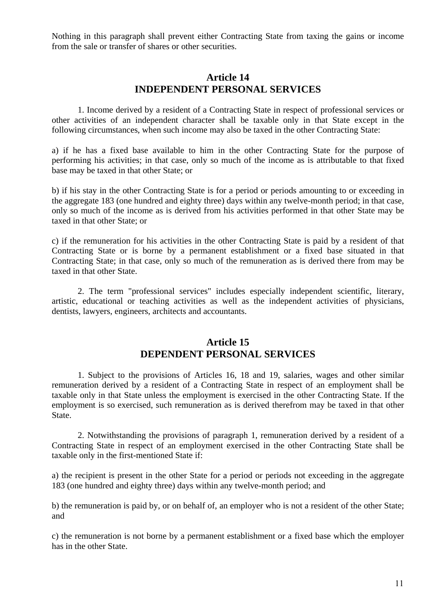Nothing in this paragraph shall prevent either Contracting State from taxing the gains or income from the sale or transfer of shares or other securities.

## **Article 14 INDEPENDENT PERSONAL SERVICES**

1. Income derived by a resident of a Contracting State in respect of professional services or other activities of an independent character shall be taxable only in that State except in the following circumstances, when such income may also be taxed in the other Contracting State:

a) if he has a fixed base available to him in the other Contracting State for the purpose of performing his activities; in that case, only so much of the income as is attributable to that fixed base may be taxed in that other State; or

b) if his stay in the other Contracting State is for a period or periods amounting to or exceeding in the aggregate 183 (one hundred and eighty three) days within any twelve-month period; in that case, only so much of the income as is derived from his activities performed in that other State may be taxed in that other State; or

c) if the remuneration for his activities in the other Contracting State is paid by a resident of that Contracting State or is borne by a permanent establishment or a fixed base situated in that Contracting State; in that case, only so much of the remuneration as is derived there from may be taxed in that other State.

2. The term "professional services" includes especially independent scientific, literary, artistic, educational or teaching activities as well as the independent activities of physicians, dentists, lawyers, engineers, architects and accountants.

## **Article 15 DEPENDENT PERSONAL SERVICES**

1. Subject to the provisions of Articles 16, 18 and 19, salaries, wages and other similar remuneration derived by a resident of a Contracting State in respect of an employment shall be taxable only in that State unless the employment is exercised in the other Contracting State. If the employment is so exercised, such remuneration as is derived therefrom may be taxed in that other State.

2. Notwithstanding the provisions of paragraph 1, remuneration derived by a resident of a Contracting State in respect of an employment exercised in the other Contracting State shall be taxable only in the first-mentioned State if:

a) the recipient is present in the other State for a period or periods not exceeding in the aggregate 183 (one hundred and eighty three) days within any twelve-month period; and

b) the remuneration is paid by, or on behalf of, an employer who is not a resident of the other State; and

c) the remuneration is not borne by a permanent establishment or a fixed base which the employer has in the other State.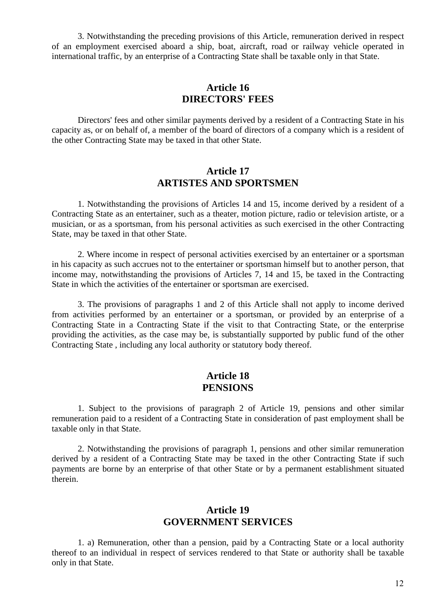3. Notwithstanding the preceding provisions of this Article, remuneration derived in respect of an employment exercised aboard a ship, boat, aircraft, road or railway vehicle operated in international traffic, by an enterprise of a Contracting State shall be taxable only in that State.

## **Article 16 DIRECTORS' FEES**

Directors' fees and other similar payments derived by a resident of a Contracting State in his capacity as, or on behalf of, a member of the board of directors of a company which is a resident of the other Contracting State may be taxed in that other State.

#### **Article 17 ARTISTES AND SPORTSMEN**

1. Notwithstanding the provisions of Articles 14 and 15, income derived by a resident of a Contracting State as an entertainer, such as a theater, motion picture, radio or television artiste, or a musician, or as a sportsman, from his personal activities as such exercised in the other Contracting State, may be taxed in that other State.

2. Where income in respect of personal activities exercised by an entertainer or a sportsman in his capacity as such accrues not to the entertainer or sportsman himself but to another person, that income may, notwithstanding the provisions of Articles 7, 14 and 15, be taxed in the Contracting State in which the activities of the entertainer or sportsman are exercised.

3. The provisions of paragraphs 1 and 2 of this Article shall not apply to income derived from activities performed by an entertainer or a sportsman, or provided by an enterprise of a Contracting State in a Contracting State if the visit to that Contracting State, or the enterprise providing the activities, as the case may be, is substantially supported by public fund of the other Contracting State , including any local authority or statutory body thereof.

#### **Article 18 PENSIONS**

1. Subject to the provisions of paragraph 2 of Article 19, pensions and other similar remuneration paid to a resident of a Contracting State in consideration of past employment shall be taxable only in that State.

2. Notwithstanding the provisions of paragraph 1, pensions and other similar remuneration derived by a resident of a Contracting State may be taxed in the other Contracting State if such payments are borne by an enterprise of that other State or by a permanent establishment situated therein.

## **Article 19 GOVERNMENT SERVICES**

1. a) Remuneration, other than a pension, paid by a Contracting State or a local authority thereof to an individual in respect of services rendered to that State or authority shall be taxable only in that State.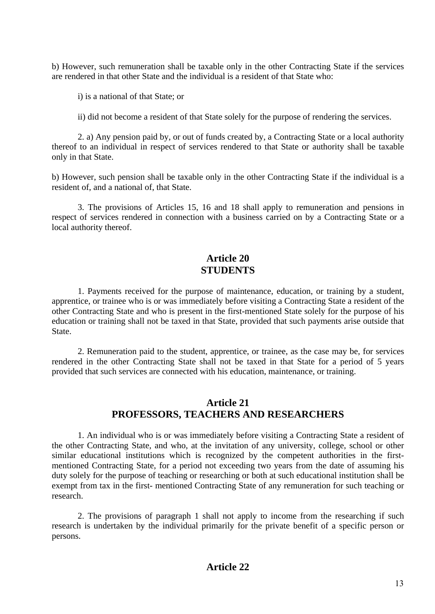b) However, such remuneration shall be taxable only in the other Contracting State if the services are rendered in that other State and the individual is a resident of that State who:

i) is a national of that State; or

ii) did not become a resident of that State solely for the purpose of rendering the services.

2. a) Any pension paid by, or out of funds created by, a Contracting State or a local authority thereof to an individual in respect of services rendered to that State or authority shall be taxable only in that State.

b) However, such pension shall be taxable only in the other Contracting State if the individual is a resident of, and a national of, that State.

3. The provisions of Articles 15, 16 and 18 shall apply to remuneration and pensions in respect of services rendered in connection with a business carried on by a Contracting State or a local authority thereof.

## **Article 20 STUDENTS**

1. Payments received for the purpose of maintenance, education, or training by a student, apprentice, or trainee who is or was immediately before visiting a Contracting State a resident of the other Contracting State and who is present in the first-mentioned State solely for the purpose of his education or training shall not be taxed in that State, provided that such payments arise outside that State.

2. Remuneration paid to the student, apprentice, or trainee, as the case may be, for services rendered in the other Contracting State shall not be taxed in that State for a period of 5 years provided that such services are connected with his education, maintenance, or training.

## **Article 21 PROFESSORS, TEACHERS AND RESEARCHERS**

1. An individual who is or was immediately before visiting a Contracting State a resident of the other Contracting State, and who, at the invitation of any university, college, school or other similar educational institutions which is recognized by the competent authorities in the firstmentioned Contracting State, for a period not exceeding two years from the date of assuming his duty solely for the purpose of teaching or researching or both at such educational institution shall be exempt from tax in the first- mentioned Contracting State of any remuneration for such teaching or research.

2. The provisions of paragraph 1 shall not apply to income from the researching if such research is undertaken by the individual primarily for the private benefit of a specific person or persons.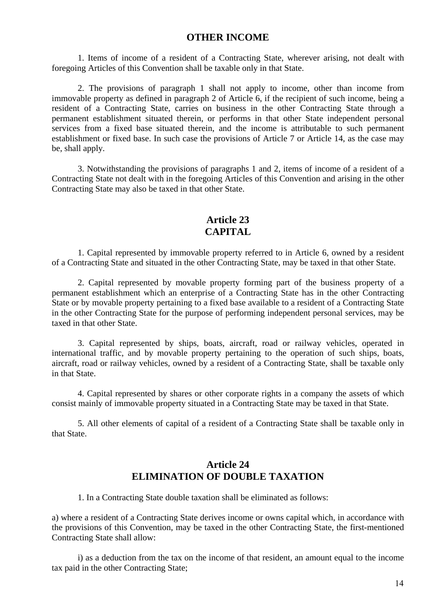#### **OTHER INCOME**

1. Items of income of a resident of a Contracting State, wherever arising, not dealt with foregoing Articles of this Convention shall be taxable only in that State.

2. The provisions of paragraph 1 shall not apply to income, other than income from immovable property as defined in paragraph 2 of Article 6, if the recipient of such income, being a resident of a Contracting State, carries on business in the other Contracting State through a permanent establishment situated therein, or performs in that other State independent personal services from a fixed base situated therein, and the income is attributable to such permanent establishment or fixed base. In such case the provisions of Article 7 or Article 14, as the case may be, shall apply.

3. Notwithstanding the provisions of paragraphs 1 and 2, items of income of a resident of a Contracting State not dealt with in the foregoing Articles of this Convention and arising in the other Contracting State may also be taxed in that other State.

## **Article 23 CAPITAL**

1. Capital represented by immovable property referred to in Article 6, owned by a resident of a Contracting State and situated in the other Contracting State, may be taxed in that other State.

2. Capital represented by movable property forming part of the business property of a permanent establishment which an enterprise of a Contracting State has in the other Contracting State or by movable property pertaining to a fixed base available to a resident of a Contracting State in the other Contracting State for the purpose of performing independent personal services, may be taxed in that other State.

3. Capital represented by ships, boats, aircraft, road or railway vehicles, operated in international traffic, and by movable property pertaining to the operation of such ships, boats, aircraft, road or railway vehicles, owned by a resident of a Contracting State, shall be taxable only in that State.

4. Capital represented by shares or other corporate rights in a company the assets of which consist mainly of immovable property situated in a Contracting State may be taxed in that State.

5. All other elements of capital of a resident of a Contracting State shall be taxable only in that State.

## **Article 24 ELIMINATION OF DOUBLE TAXATION**

1. In a Contracting State double taxation shall be eliminated as follows:

a) where a resident of a Contracting State derives income or owns capital which, in accordance with the provisions of this Convention, may be taxed in the other Contracting State, the first-mentioned Contracting State shall allow:

i) as a deduction from the tax on the income of that resident, an amount equal to the income tax paid in the other Contracting State;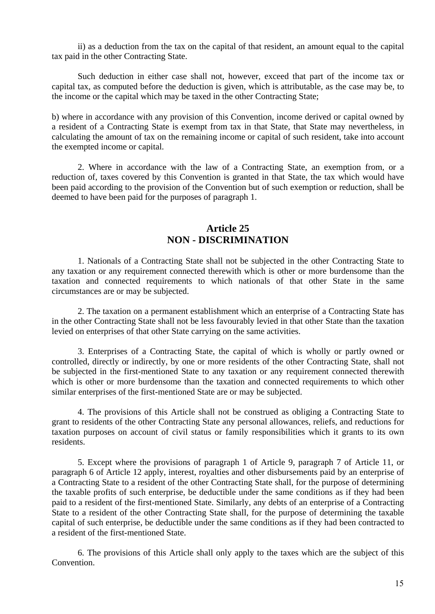ii) as a deduction from the tax on the capital of that resident, an amount equal to the capital tax paid in the other Contracting State.

Such deduction in either case shall not, however, exceed that part of the income tax or capital tax, as computed before the deduction is given, which is attributable, as the case may be, to the income or the capital which may be taxed in the other Contracting State;

b) where in accordance with any provision of this Convention, income derived or capital owned by a resident of a Contracting State is exempt from tax in that State, that State may nevertheless, in calculating the amount of tax on the remaining income or capital of such resident, take into account the exempted income or capital.

2. Where in accordance with the law of a Contracting State, an exemption from, or a reduction of, taxes covered by this Convention is granted in that State, the tax which would have been paid according to the provision of the Convention but of such exemption or reduction, shall be deemed to have been paid for the purposes of paragraph 1.

#### **Article 25 NON - DISCRIMINATION**

1. Nationals of a Contracting State shall not be subjected in the other Contracting State to any taxation or any requirement connected therewith which is other or more burdensome than the taxation and connected requirements to which nationals of that other State in the same circumstances are or may be subjected.

2. The taxation on a permanent establishment which an enterprise of a Contracting State has in the other Contracting State shall not be less favourably levied in that other State than the taxation levied on enterprises of that other State carrying on the same activities.

3. Enterprises of a Contracting State, the capital of which is wholly or partly owned or controlled, directly or indirectly, by one or more residents of the other Contracting State, shall not be subjected in the first-mentioned State to any taxation or any requirement connected therewith which is other or more burdensome than the taxation and connected requirements to which other similar enterprises of the first-mentioned State are or may be subjected.

4. The provisions of this Article shall not be construed as obliging a Contracting State to grant to residents of the other Contracting State any personal allowances, reliefs, and reductions for taxation purposes on account of civil status or family responsibilities which it grants to its own residents.

5. Except where the provisions of paragraph 1 of Article 9, paragraph 7 of Article 11, or paragraph 6 of Article 12 apply, interest, royalties and other disbursements paid by an enterprise of a Contracting State to a resident of the other Contracting State shall, for the purpose of determining the taxable profits of such enterprise, be deductible under the same conditions as if they had been paid to a resident of the first-mentioned State. Similarly, any debts of an enterprise of a Contracting State to a resident of the other Contracting State shall, for the purpose of determining the taxable capital of such enterprise, be deductible under the same conditions as if they had been contracted to a resident of the first-mentioned State.

6. The provisions of this Article shall only apply to the taxes which are the subject of this Convention.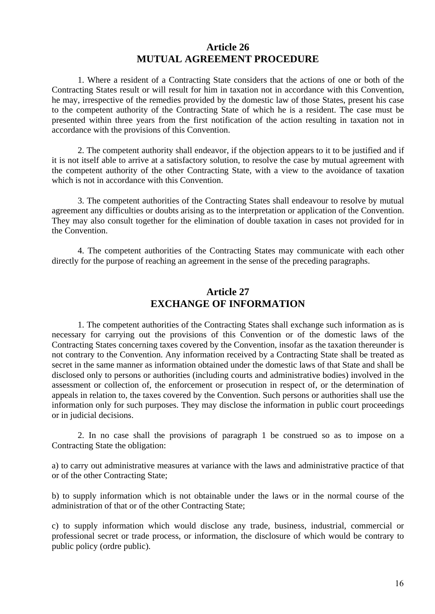#### **Article 26 MUTUAL AGREEMENT PROCEDURE**

1. Where a resident of a Contracting State considers that the actions of one or both of the Contracting States result or will result for him in taxation not in accordance with this Convention, he may, irrespective of the remedies provided by the domestic law of those States, present his case to the competent authority of the Contracting State of which he is a resident. The case must be presented within three years from the first notification of the action resulting in taxation not in accordance with the provisions of this Convention.

2. The competent authority shall endeavor, if the objection appears to it to be justified and if it is not itself able to arrive at a satisfactory solution, to resolve the case by mutual agreement with the competent authority of the other Contracting State, with a view to the avoidance of taxation which is not in accordance with this Convention.

3. The competent authorities of the Contracting States shall endeavour to resolve by mutual agreement any difficulties or doubts arising as to the interpretation or application of the Convention. They may also consult together for the elimination of double taxation in cases not provided for in the Convention.

4. The competent authorities of the Contracting States may communicate with each other directly for the purpose of reaching an agreement in the sense of the preceding paragraphs.

## **Article 27 EXCHANGE OF INFORMATION**

1. The competent authorities of the Contracting States shall exchange such information as is necessary for carrying out the provisions of this Convention or of the domestic laws of the Contracting States concerning taxes covered by the Convention, insofar as the taxation thereunder is not contrary to the Convention. Any information received by a Contracting State shall be treated as secret in the same manner as information obtained under the domestic laws of that State and shall be disclosed only to persons or authorities (including courts and administrative bodies) involved in the assessment or collection of, the enforcement or prosecution in respect of, or the determination of appeals in relation to, the taxes covered by the Convention. Such persons or authorities shall use the information only for such purposes. They may disclose the information in public court proceedings or in judicial decisions.

2. In no case shall the provisions of paragraph 1 be construed so as to impose on a Contracting State the obligation:

a) to carry out administrative measures at variance with the laws and administrative practice of that or of the other Contracting State;

b) to supply information which is not obtainable under the laws or in the normal course of the administration of that or of the other Contracting State;

c) to supply information which would disclose any trade, business, industrial, commercial or professional secret or trade process, or information, the disclosure of which would be contrary to public policy (ordre public).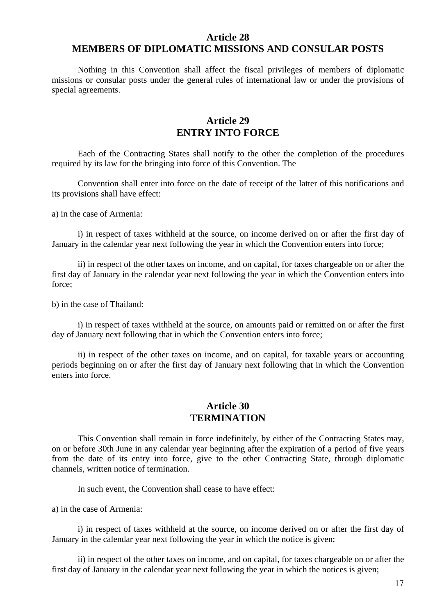## **Article 28 MEMBERS OF DIPLOMATIC MISSIONS AND CONSULAR POSTS**

Nothing in this Convention shall affect the fiscal privileges of members of diplomatic missions or consular posts under the general rules of international law or under the provisions of special agreements.

#### **Article 29 ENTRY INTO FORCE**

Each of the Contracting States shall notify to the other the completion of the procedures required by its law for the bringing into force of this Convention. The

Convention shall enter into force on the date of receipt of the latter of this notifications and its provisions shall have effect:

a) in the case of Armenia:

i) in respect of taxes withheld at the source, on income derived on or after the first day of January in the calendar year next following the year in which the Convention enters into force;

ii) in respect of the other taxes on income, and on capital, for taxes chargeable on or after the first day of January in the calendar year next following the year in which the Convention enters into force;

b) in the case of Thailand:

i) in respect of taxes withheld at the source, on amounts paid or remitted on or after the first day of January next following that in which the Convention enters into force;

ii) in respect of the other taxes on income, and on capital, for taxable years or accounting periods beginning on or after the first day of January next following that in which the Convention enters into force.

#### **Article 30 TERMINATION**

This Convention shall remain in force indefinitely, by either of the Contracting States may, on or before 30th June in any calendar year beginning after the expiration of a period of five years from the date of its entry into force, give to the other Contracting State, through diplomatic channels, written notice of termination.

In such event, the Convention shall cease to have effect:

a) in the case of Armenia:

i) in respect of taxes withheld at the source, on income derived on or after the first day of January in the calendar year next following the year in which the notice is given;

ii) in respect of the other taxes on income, and on capital, for taxes chargeable on or after the first day of January in the calendar year next following the year in which the notices is given;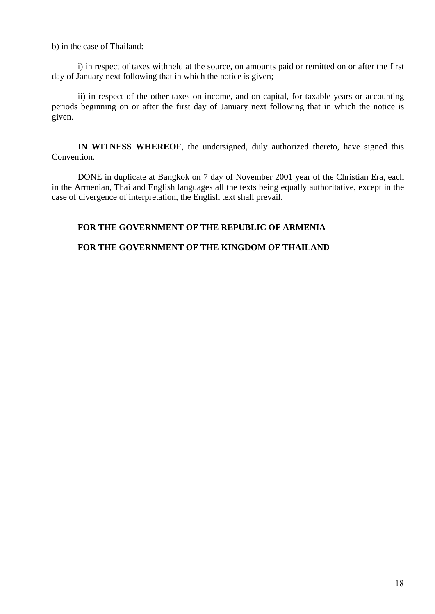b) in the case of Thailand:

i) in respect of taxes withheld at the source, on amounts paid or remitted on or after the first day of January next following that in which the notice is given;

ii) in respect of the other taxes on income, and on capital, for taxable years or accounting periods beginning on or after the first day of January next following that in which the notice is given.

**IN WITNESS WHEREOF**, the undersigned, duly authorized thereto, have signed this Convention.

DONE in duplicate at Bangkok on 7 day of November 2001 year of the Christian Era, each in the Armenian, Thai and English languages all the texts being equally authoritative, except in the case of divergence of interpretation, the English text shall prevail.

#### **FOR THE GOVERNMENT OF THE REPUBLIC OF ARMENIA**

#### **FOR THE GOVERNMENT OF THE KINGDOM OF THAILAND**